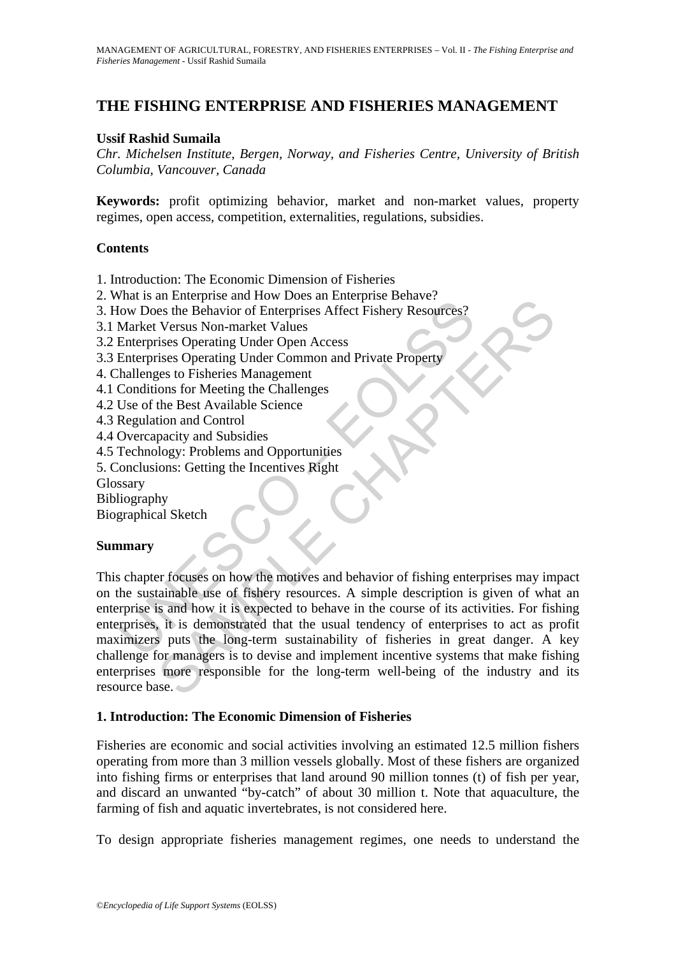# **THE FISHING ENTERPRISE AND FISHERIES MANAGEMENT**

## **Ussif Rashid Sumaila**

*Chr. Michelsen Institute, Bergen, Norway, and Fisheries Centre, University of British Columbia, Vancouver, Canada* 

**Keywords:** profit optimizing behavior, market and non-market values, property regimes, open access, competition, externalities, regulations, subsidies.

### **Contents**

- 1. Introduction: The Economic Dimension of Fisheries
- 2. What is an Enterprise and How Does an Enterprise Behave?
- 3. How Does the Behavior of Enterprises Affect Fishery Resources?
- 3.1 Market Versus Non-market Values
- 3.2 Enterprises Operating Under Open Access
- 3.3 Enterprises Operating Under Common and Private Property
- 4. Challenges to Fisheries Management
- 4.1 Conditions for Meeting the Challenges
- 4.2 Use of the Best Available Science
- 4.3 Regulation and Control
- 4.4 Overcapacity and Subsidies
- 4.5 Technology: Problems and Opportunities
- 5. Conclusions: Getting the Incentives Right
- Glossary
- Bibliography

Biographical Sketch

### **Summary**

Francisco discussions and How Does the Behavior of Enterprises Affect Fishery Resources?<br>
Market Versus Non-market Values<br>
Enterprises Operating Under Open Access<br>
Enterprises Operating Under Open Access<br>
Enterprises to Fi and Encription and Tow Boost and Toward Chapter Boost Caracteristics<br>
See the Behavior of Enterprises Affect Fishery Resources?<br>
Versus Non-market Values<br>
sies Operating Under Open Access<br>
sies Operating Under Common and P This chapter focuses on how the motives and behavior of fishing enterprises may impact on the sustainable use of fishery resources. A simple description is given of what an enterprise is and how it is expected to behave in the course of its activities. For fishing enterprises, it is demonstrated that the usual tendency of enterprises to act as profit maximizers puts the long-term sustainability of fisheries in great danger. A key challenge for managers is to devise and implement incentive systems that make fishing enterprises more responsible for the long-term well-being of the industry and its resource base.

### **1. Introduction: The Economic Dimension of Fisheries**

Fisheries are economic and social activities involving an estimated 12.5 million fishers operating from more than 3 million vessels globally. Most of these fishers are organized into fishing firms or enterprises that land around 90 million tonnes (t) of fish per year, and discard an unwanted "by-catch" of about 30 million t. Note that aquaculture, the farming of fish and aquatic invertebrates, is not considered here.

To design appropriate fisheries management regimes, one needs to understand the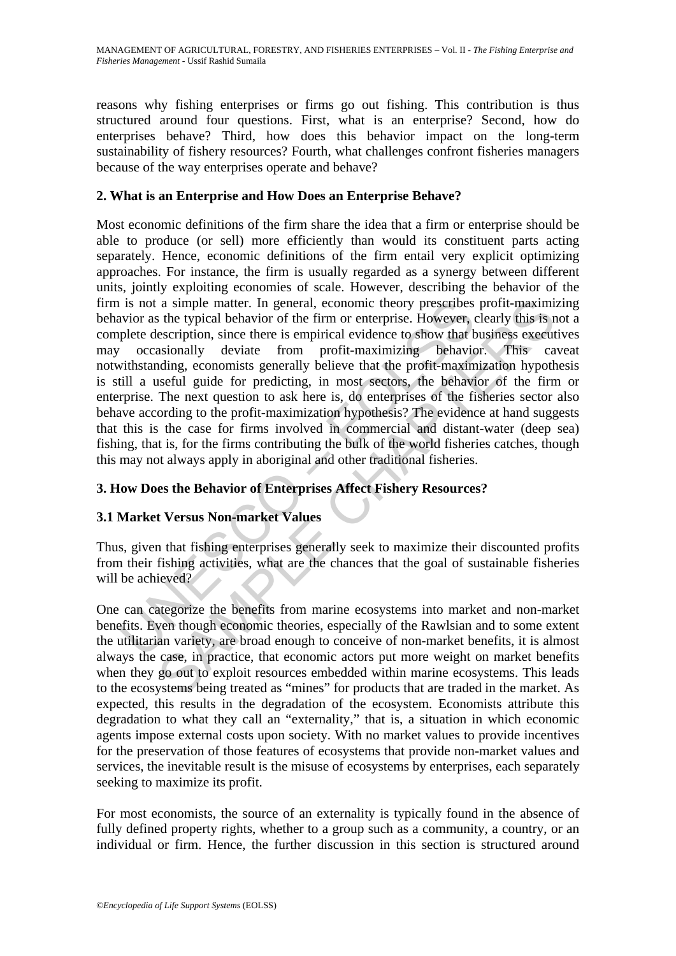reasons why fishing enterprises or firms go out fishing. This contribution is thus structured around four questions. First, what is an enterprise? Second, how do enterprises behave? Third, how does this behavior impact on the long-term sustainability of fishery resources? Fourth, what challenges confront fisheries managers because of the way enterprises operate and behave?

# **2. What is an Enterprise and How Does an Enterprise Behave?**

is not a simple matter. In general, economic theory prescribes<br>wior as the typical behavior of the firm or enterprise. However, explete description, since there is empirical evidence to show that the<br>problem consisting pro a simple matter. In general, economic theory prescribes profit-maximi<br>stectiption, since the firm or enterprise. However, clearly this is tected<br>escription, since there is empirical evidence to show that business execut<br>as Most economic definitions of the firm share the idea that a firm or enterprise should be able to produce (or sell) more efficiently than would its constituent parts acting separately. Hence, economic definitions of the firm entail very explicit optimizing approaches. For instance, the firm is usually regarded as a synergy between different units, jointly exploiting economies of scale. However, describing the behavior of the firm is not a simple matter. In general, economic theory prescribes profit-maximizing behavior as the typical behavior of the firm or enterprise. However, clearly this is not a complete description, since there is empirical evidence to show that business executives may occasionally deviate from profit-maximizing behavior. This caveat notwithstanding, economists generally believe that the profit-maximization hypothesis is still a useful guide for predicting, in most sectors, the behavior of the firm or enterprise. The next question to ask here is, do enterprises of the fisheries sector also behave according to the profit-maximization hypothesis? The evidence at hand suggests that this is the case for firms involved in commercial and distant-water (deep sea) fishing, that is, for the firms contributing the bulk of the world fisheries catches, though this may not always apply in aboriginal and other traditional fisheries.

# **3. How Does the Behavior of Enterprises Affect Fishery Resources?**

# **3.1 Market Versus Non-market Values**

Thus, given that fishing enterprises generally seek to maximize their discounted profits from their fishing activities, what are the chances that the goal of sustainable fisheries will be achieved?

One can categorize the benefits from marine ecosystems into market and non-market benefits. Even though economic theories, especially of the Rawlsian and to some extent the utilitarian variety, are broad enough to conceive of non-market benefits, it is almost always the case, in practice, that economic actors put more weight on market benefits when they go out to exploit resources embedded within marine ecosystems. This leads to the ecosystems being treated as "mines" for products that are traded in the market. As expected, this results in the degradation of the ecosystem. Economists attribute this degradation to what they call an "externality," that is, a situation in which economic agents impose external costs upon society. With no market values to provide incentives for the preservation of those features of ecosystems that provide non-market values and services, the inevitable result is the misuse of ecosystems by enterprises, each separately seeking to maximize its profit.

For most economists, the source of an externality is typically found in the absence of fully defined property rights, whether to a group such as a community, a country, or an individual or firm. Hence, the further discussion in this section is structured around